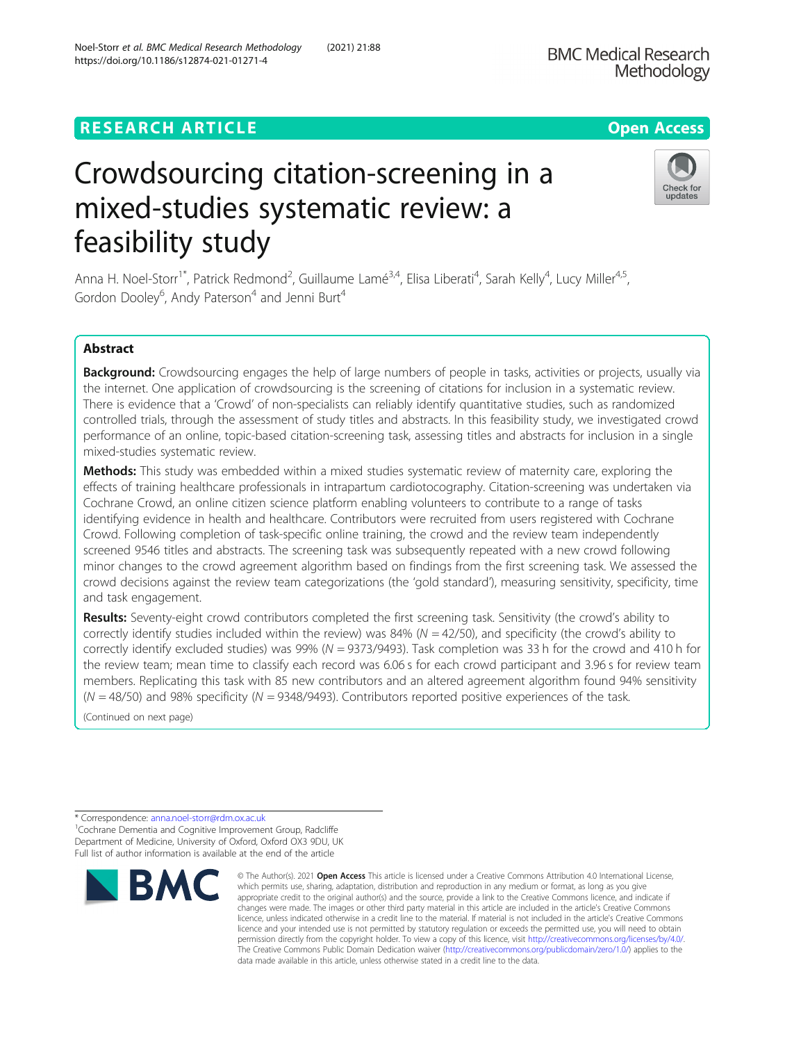## **RESEARCH ARTICLE Example 2018 12:30 The Contract of Contract Contract Open Access**

# Crowdsourcing citation-screening in a mixed-studies systematic review: a feasibility study

Anna H. Noel-Storr<sup>1\*</sup>, Patrick Redmond<sup>2</sup>, Guillaume Lamé<sup>3,4</sup>, Elisa Liberati<sup>4</sup>, Sarah Kelly<sup>4</sup>, Lucy Miller<sup>4,5</sup>, Gordon Dooley<sup>6</sup>, Andy Paterson<sup>4</sup> and Jenni Burt<sup>4</sup>

#### Abstract

Background: Crowdsourcing engages the help of large numbers of people in tasks, activities or projects, usually via the internet. One application of crowdsourcing is the screening of citations for inclusion in a systematic review. There is evidence that a 'Crowd' of non-specialists can reliably identify quantitative studies, such as randomized controlled trials, through the assessment of study titles and abstracts. In this feasibility study, we investigated crowd performance of an online, topic-based citation-screening task, assessing titles and abstracts for inclusion in a single mixed-studies systematic review.

**Methods:** This study was embedded within a mixed studies systematic review of maternity care, exploring the effects of training healthcare professionals in intrapartum cardiotocography. Citation-screening was undertaken via Cochrane Crowd, an online citizen science platform enabling volunteers to contribute to a range of tasks identifying evidence in health and healthcare. Contributors were recruited from users registered with Cochrane Crowd. Following completion of task-specific online training, the crowd and the review team independently screened 9546 titles and abstracts. The screening task was subsequently repeated with a new crowd following minor changes to the crowd agreement algorithm based on findings from the first screening task. We assessed the crowd decisions against the review team categorizations (the 'gold standard'), measuring sensitivity, specificity, time and task engagement.

Results: Seventy-eight crowd contributors completed the first screening task. Sensitivity (the crowd's ability to correctly identify studies included within the review) was 84% ( $N = 42/50$ ), and specificity (the crowd's ability to correctly identify excluded studies) was 99% ( $N = 9373/9493$ ). Task completion was 33 h for the crowd and 410 h for the review team; mean time to classify each record was 6.06 s for each crowd participant and 3.96 s for review team members. Replicating this task with 85 new contributors and an altered agreement algorithm found 94% sensitivity  $(N = 48/50)$  and 98% specificity  $(N = 9348/9493)$ . Contributors reported positive experiences of the task.

(Continued on next page)

<sup>1</sup>Cochrane Dementia and Cognitive Improvement Group, Radcliffe Department of Medicine, University of Oxford, Oxford OX3 9DU, UK Full list of author information is available at the end of the article



© The Author(s), 2021 **Open Access** This article is licensed under a Creative Commons Attribution 4.0 International License,



<sup>\*</sup> Correspondence: [anna.noel-storr@rdm.ox.ac.uk](mailto:anna.noel-storr@rdm.ox.ac.uk) <sup>1</sup>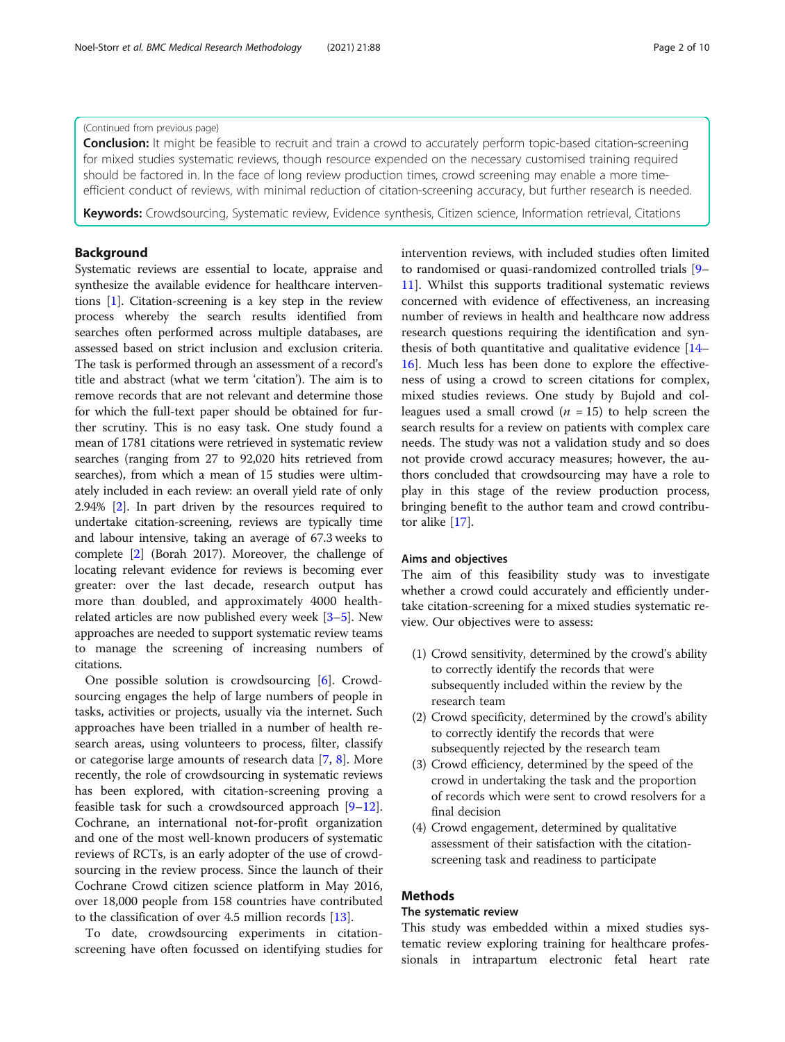#### (Continued from previous page)

**Conclusion:** It might be feasible to recruit and train a crowd to accurately perform topic-based citation-screening for mixed studies systematic reviews, though resource expended on the necessary customised training required should be factored in. In the face of long review production times, crowd screening may enable a more timeefficient conduct of reviews, with minimal reduction of citation-screening accuracy, but further research is needed.

Keywords: Crowdsourcing, Systematic review, Evidence synthesis, Citizen science, Information retrieval, Citations

#### Background

Systematic reviews are essential to locate, appraise and synthesize the available evidence for healthcare interventions [[1\]](#page-9-0). Citation-screening is a key step in the review process whereby the search results identified from searches often performed across multiple databases, are assessed based on strict inclusion and exclusion criteria. The task is performed through an assessment of a record's title and abstract (what we term 'citation'). The aim is to remove records that are not relevant and determine those for which the full-text paper should be obtained for further scrutiny. This is no easy task. One study found a mean of 1781 citations were retrieved in systematic review searches (ranging from 27 to 92,020 hits retrieved from searches), from which a mean of 15 studies were ultimately included in each review: an overall yield rate of only 2.94% [\[2\]](#page-9-0). In part driven by the resources required to undertake citation-screening, reviews are typically time and labour intensive, taking an average of 67.3 weeks to complete [[2](#page-9-0)] (Borah 2017). Moreover, the challenge of locating relevant evidence for reviews is becoming ever greater: over the last decade, research output has more than doubled, and approximately 4000 healthrelated articles are now published every week [\[3](#page-9-0)–[5](#page-9-0)]. New approaches are needed to support systematic review teams to manage the screening of increasing numbers of citations.

One possible solution is crowdsourcing [[6\]](#page-9-0). Crowdsourcing engages the help of large numbers of people in tasks, activities or projects, usually via the internet. Such approaches have been trialled in a number of health research areas, using volunteers to process, filter, classify or categorise large amounts of research data [[7,](#page-9-0) [8\]](#page-9-0). More recently, the role of crowdsourcing in systematic reviews has been explored, with citation-screening proving a feasible task for such a crowdsourced approach  $[9-12]$  $[9-12]$  $[9-12]$  $[9-12]$  $[9-12]$ . Cochrane, an international not-for-profit organization and one of the most well-known producers of systematic reviews of RCTs, is an early adopter of the use of crowdsourcing in the review process. Since the launch of their Cochrane Crowd citizen science platform in May 2016, over 18,000 people from 158 countries have contributed to the classification of over 4.5 million records [\[13](#page-9-0)].

To date, crowdsourcing experiments in citationscreening have often focussed on identifying studies for intervention reviews, with included studies often limited to randomised or quasi-randomized controlled trials [[9](#page-9-0)– [11\]](#page-9-0). Whilst this supports traditional systematic reviews concerned with evidence of effectiveness, an increasing number of reviews in health and healthcare now address research questions requiring the identification and synthesis of both quantitative and qualitative evidence [[14](#page-9-0)– [16\]](#page-9-0). Much less has been done to explore the effectiveness of using a crowd to screen citations for complex, mixed studies reviews. One study by Bujold and colleagues used a small crowd ( $n = 15$ ) to help screen the search results for a review on patients with complex care needs. The study was not a validation study and so does not provide crowd accuracy measures; however, the authors concluded that crowdsourcing may have a role to play in this stage of the review production process, bringing benefit to the author team and crowd contributor alike [[17](#page-9-0)].

#### Aims and objectives

The aim of this feasibility study was to investigate whether a crowd could accurately and efficiently undertake citation-screening for a mixed studies systematic review. Our objectives were to assess:

- (1) Crowd sensitivity, determined by the crowd's ability to correctly identify the records that were subsequently included within the review by the research team
- (2) Crowd specificity, determined by the crowd's ability to correctly identify the records that were subsequently rejected by the research team
- (3) Crowd efficiency, determined by the speed of the crowd in undertaking the task and the proportion of records which were sent to crowd resolvers for a final decision
- (4) Crowd engagement, determined by qualitative assessment of their satisfaction with the citationscreening task and readiness to participate

#### Methods

#### The systematic review

This study was embedded within a mixed studies systematic review exploring training for healthcare professionals in intrapartum electronic fetal heart rate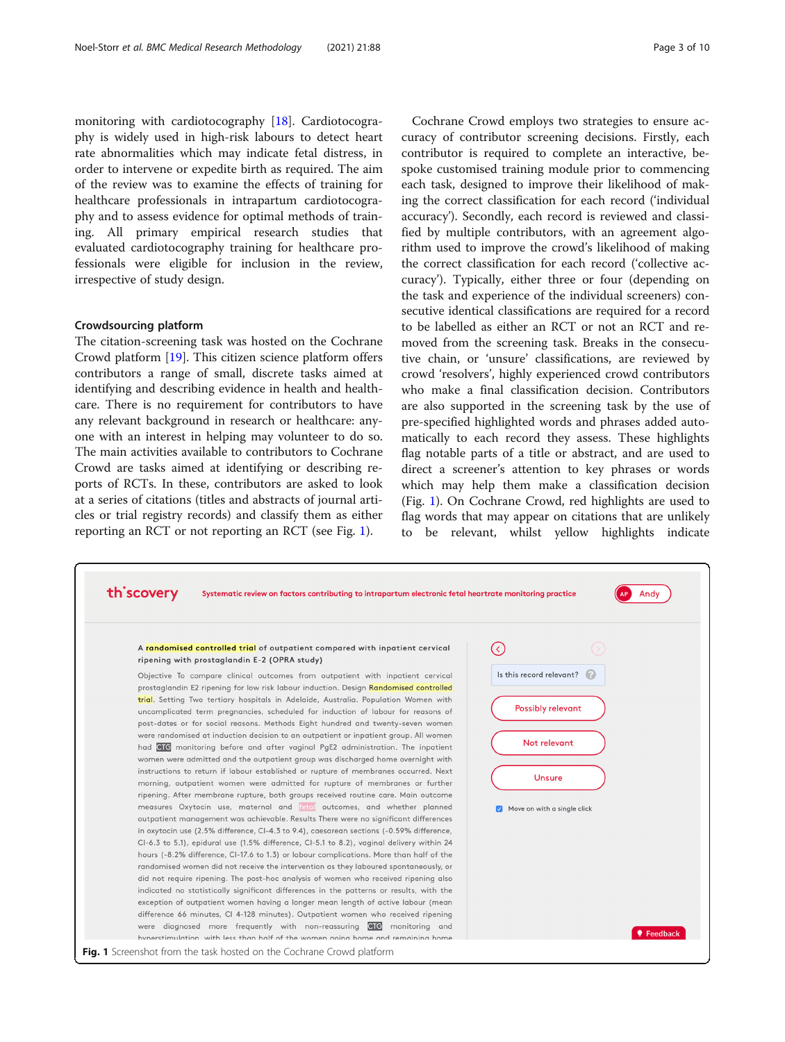<span id="page-2-0"></span>monitoring with cardiotocography [[18\]](#page-9-0). Cardiotocography is widely used in high-risk labours to detect heart rate abnormalities which may indicate fetal distress, in order to intervene or expedite birth as required. The aim of the review was to examine the effects of training for healthcare professionals in intrapartum cardiotocography and to assess evidence for optimal methods of training. All primary empirical research studies that evaluated cardiotocography training for healthcare professionals were eligible for inclusion in the review, irrespective of study design.

#### Crowdsourcing platform

The citation-screening task was hosted on the Cochrane Crowd platform [\[19](#page-9-0)]. This citizen science platform offers contributors a range of small, discrete tasks aimed at identifying and describing evidence in health and healthcare. There is no requirement for contributors to have any relevant background in research or healthcare: anyone with an interest in helping may volunteer to do so. The main activities available to contributors to Cochrane Crowd are tasks aimed at identifying or describing reports of RCTs. In these, contributors are asked to look at a series of citations (titles and abstracts of journal articles or trial registry records) and classify them as either reporting an RCT or not reporting an RCT (see Fig. 1).

Cochrane Crowd employs two strategies to ensure accuracy of contributor screening decisions. Firstly, each contributor is required to complete an interactive, bespoke customised training module prior to commencing each task, designed to improve their likelihood of making the correct classification for each record ('individual accuracy'). Secondly, each record is reviewed and classified by multiple contributors, with an agreement algorithm used to improve the crowd's likelihood of making the correct classification for each record ('collective accuracy'). Typically, either three or four (depending on the task and experience of the individual screeners) consecutive identical classifications are required for a record to be labelled as either an RCT or not an RCT and removed from the screening task. Breaks in the consecutive chain, or 'unsure' classifications, are reviewed by crowd 'resolvers', highly experienced crowd contributors who make a final classification decision. Contributors are also supported in the screening task by the use of pre-specified highlighted words and phrases added automatically to each record they assess. These highlights flag notable parts of a title or abstract, and are used to direct a screener's attention to key phrases or words which may help them make a classification decision (Fig. 1). On Cochrane Crowd, red highlights are used to flag words that may appear on citations that are unlikely to be relevant, whilst yellow highlights indicate

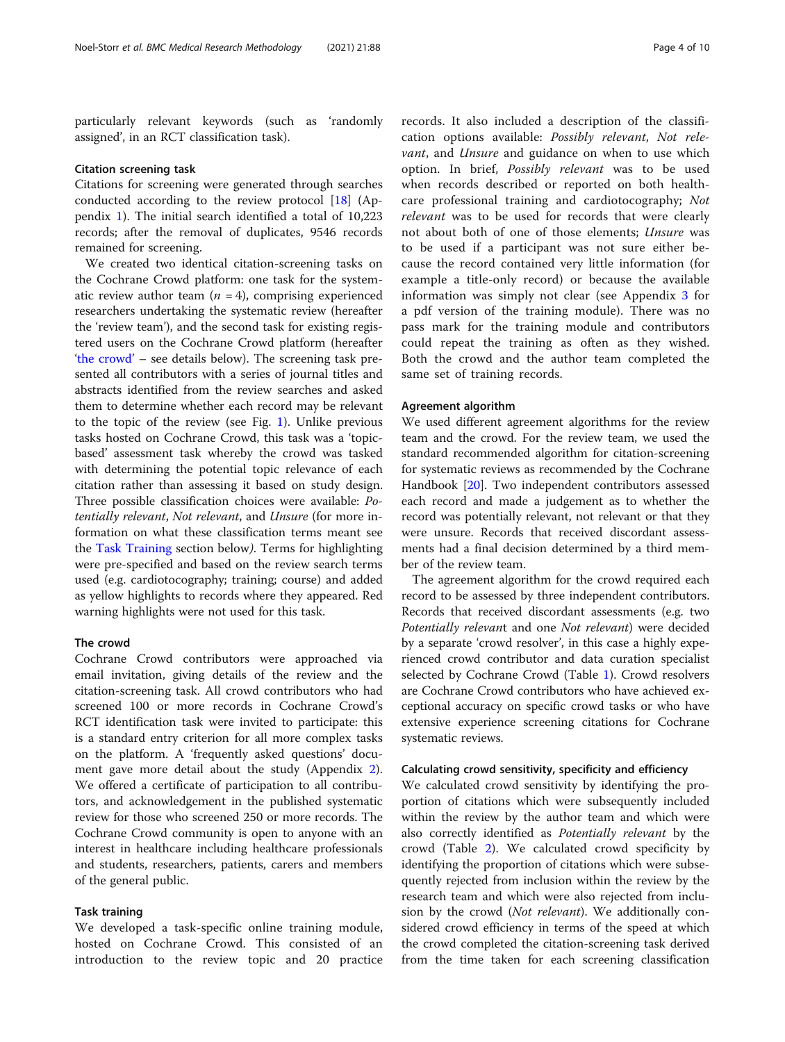particularly relevant keywords (such as 'randomly assigned', in an RCT classification task).

#### Citation screening task

Citations for screening were generated through searches conducted according to the review protocol [[18\]](#page-9-0) (Appendix [1](#page-8-0)). The initial search identified a total of 10,223 records; after the removal of duplicates, 9546 records remained for screening.

We created two identical citation-screening tasks on the Cochrane Crowd platform: one task for the systematic review author team  $(n = 4)$ , comprising experienced researchers undertaking the systematic review (hereafter the 'review team'), and the second task for existing registered users on the Cochrane Crowd platform (hereafter 'the crowd' – see details below). The screening task presented all contributors with a series of journal titles and abstracts identified from the review searches and asked them to determine whether each record may be relevant to the topic of the review (see Fig. [1](#page-2-0)). Unlike previous tasks hosted on Cochrane Crowd, this task was a 'topicbased' assessment task whereby the crowd was tasked with determining the potential topic relevance of each citation rather than assessing it based on study design. Three possible classification choices were available: Potentially relevant, Not relevant, and Unsure (for more information on what these classification terms meant see the Task Training section below). Terms for highlighting were pre-specified and based on the review search terms used (e.g. cardiotocography; training; course) and added as yellow highlights to records where they appeared. Red warning highlights were not used for this task.

#### The crowd

Cochrane Crowd contributors were approached via email invitation, giving details of the review and the citation-screening task. All crowd contributors who had screened 100 or more records in Cochrane Crowd's RCT identification task were invited to participate: this is a standard entry criterion for all more complex tasks on the platform. A 'frequently asked questions' document gave more detail about the study (Appendix [2](#page-8-0)). We offered a certificate of participation to all contributors, and acknowledgement in the published systematic review for those who screened 250 or more records. The Cochrane Crowd community is open to anyone with an interest in healthcare including healthcare professionals and students, researchers, patients, carers and members of the general public.

#### Task training

We developed a task-specific online training module, hosted on Cochrane Crowd. This consisted of an introduction to the review topic and 20 practice

records. It also included a description of the classification options available: Possibly relevant, Not relevant, and *Unsure* and guidance on when to use which option. In brief, Possibly relevant was to be used when records described or reported on both healthcare professional training and cardiotocography; Not relevant was to be used for records that were clearly not about both of one of those elements; Unsure was to be used if a participant was not sure either because the record contained very little information (for example a title-only record) or because the available information was simply not clear (see Appendix [3](#page-8-0) for a pdf version of the training module). There was no pass mark for the training module and contributors could repeat the training as often as they wished. Both the crowd and the author team completed the same set of training records.

#### Agreement algorithm

We used different agreement algorithms for the review team and the crowd. For the review team, we used the standard recommended algorithm for citation-screening for systematic reviews as recommended by the Cochrane Handbook [[20](#page-9-0)]. Two independent contributors assessed each record and made a judgement as to whether the record was potentially relevant, not relevant or that they were unsure. Records that received discordant assessments had a final decision determined by a third member of the review team.

The agreement algorithm for the crowd required each record to be assessed by three independent contributors. Records that received discordant assessments (e.g. two Potentially relevant and one Not relevant) were decided by a separate 'crowd resolver', in this case a highly experienced crowd contributor and data curation specialist selected by Cochrane Crowd (Table [1\)](#page-4-0). Crowd resolvers are Cochrane Crowd contributors who have achieved exceptional accuracy on specific crowd tasks or who have extensive experience screening citations for Cochrane systematic reviews.

#### Calculating crowd sensitivity, specificity and efficiency

We calculated crowd sensitivity by identifying the proportion of citations which were subsequently included within the review by the author team and which were also correctly identified as Potentially relevant by the crowd (Table [2](#page-4-0)). We calculated crowd specificity by identifying the proportion of citations which were subsequently rejected from inclusion within the review by the research team and which were also rejected from inclusion by the crowd (*Not relevant*). We additionally considered crowd efficiency in terms of the speed at which the crowd completed the citation-screening task derived from the time taken for each screening classification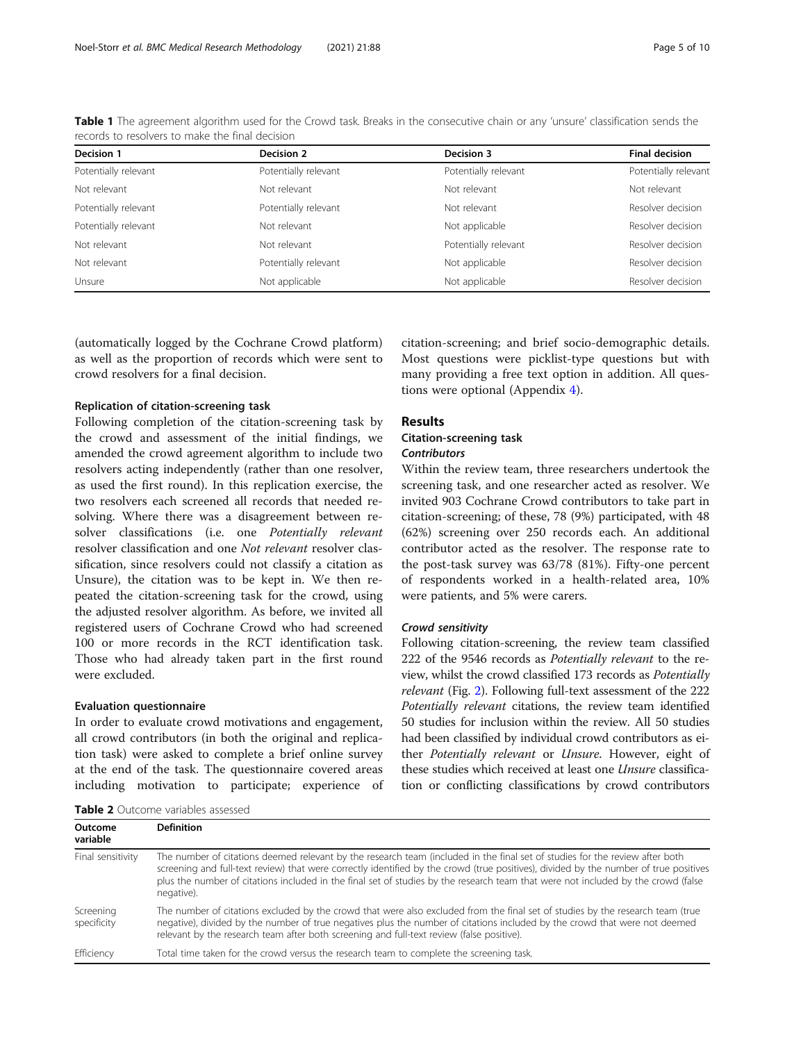| Decision 1           | Decision 2           | Decision 3           | <b>Final decision</b> |
|----------------------|----------------------|----------------------|-----------------------|
| Potentially relevant | Potentially relevant | Potentially relevant | Potentially relevant  |
| Not relevant         | Not relevant         | Not relevant         | Not relevant          |
| Potentially relevant | Potentially relevant | Not relevant         | Resolver decision     |
| Potentially relevant | Not relevant         | Not applicable       | Resolver decision     |
| Not relevant         | Not relevant         | Potentially relevant | Resolver decision     |
| Not relevant         | Potentially relevant | Not applicable       | Resolver decision     |
| Unsure               | Not applicable       | Not applicable       | Resolver decision     |

<span id="page-4-0"></span>Table 1 The agreement algorithm used for the Crowd task. Breaks in the consecutive chain or any 'unsure' classification sends the records to resolvers to make the final decision

(automatically logged by the Cochrane Crowd platform) as well as the proportion of records which were sent to crowd resolvers for a final decision.

#### Replication of citation-screening task

Following completion of the citation-screening task by the crowd and assessment of the initial findings, we amended the crowd agreement algorithm to include two resolvers acting independently (rather than one resolver, as used the first round). In this replication exercise, the two resolvers each screened all records that needed resolving. Where there was a disagreement between resolver classifications (i.e. one Potentially relevant resolver classification and one Not relevant resolver classification, since resolvers could not classify a citation as Unsure), the citation was to be kept in. We then repeated the citation-screening task for the crowd, using the adjusted resolver algorithm. As before, we invited all registered users of Cochrane Crowd who had screened 100 or more records in the RCT identification task. Those who had already taken part in the first round were excluded.

#### Evaluation questionnaire

Outcome

In order to evaluate crowd motivations and engagement, all crowd contributors (in both the original and replication task) were asked to complete a brief online survey at the end of the task. The questionnaire covered areas including motivation to participate; experience of

Table 2 Outcome variables assessed

Definition

citation-screening; and brief socio-demographic details. Most questions were picklist-type questions but with many providing a free text option in addition. All questions were optional (Appendix [4](#page-8-0)).

#### Results

### Citation-screening task

#### **Contributors**

Within the review team, three researchers undertook the screening task, and one researcher acted as resolver. We invited 903 Cochrane Crowd contributors to take part in citation-screening; of these, 78 (9%) participated, with 48 (62%) screening over 250 records each. An additional contributor acted as the resolver. The response rate to the post-task survey was 63/78 (81%). Fifty-one percent of respondents worked in a health-related area, 10% were patients, and 5% were carers.

#### Crowd sensitivity

Following citation-screening, the review team classified 222 of the 9546 records as Potentially relevant to the review, whilst the crowd classified 173 records as Potentially relevant (Fig. [2\)](#page-5-0). Following full-text assessment of the 222 Potentially relevant citations, the review team identified 50 studies for inclusion within the review. All 50 studies had been classified by individual crowd contributors as either Potentially relevant or Unsure. However, eight of these studies which received at least one *Unsure* classification or conflicting classifications by crowd contributors

| variable                 |                                                                                                                                                                                                                                                                                                                                                                                                                          |
|--------------------------|--------------------------------------------------------------------------------------------------------------------------------------------------------------------------------------------------------------------------------------------------------------------------------------------------------------------------------------------------------------------------------------------------------------------------|
| Final sensitivity        | The number of citations deemed relevant by the research team (included in the final set of studies for the review after both<br>screening and full-text review) that were correctly identified by the crowd (true positives), divided by the number of true positives<br>plus the number of citations included in the final set of studies by the research team that were not included by the crowd (false<br>negative). |
| Screening<br>specificity | The number of citations excluded by the crowd that were also excluded from the final set of studies by the research team (true<br>negative), divided by the number of true negatives plus the number of citations included by the crowd that were not deemed<br>relevant by the research team after both screening and full-text review (false positive).                                                                |
| Efficiency               | Total time taken for the crowd versus the research team to complete the screening task.                                                                                                                                                                                                                                                                                                                                  |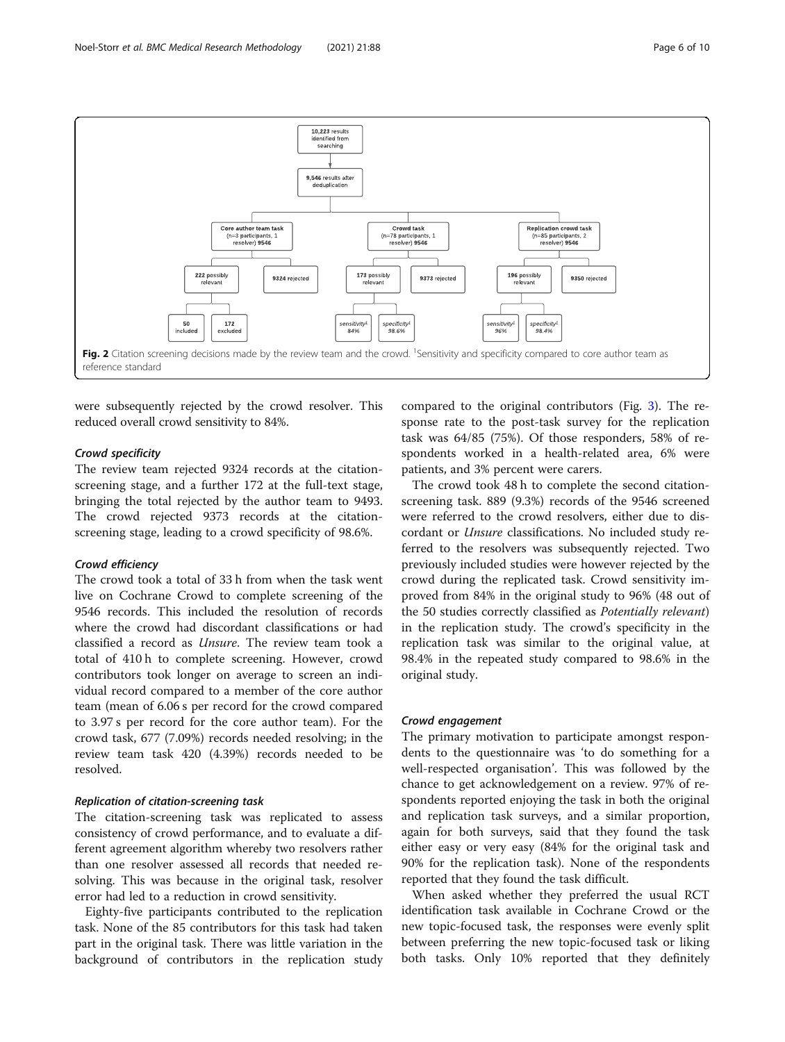<span id="page-5-0"></span>

were subsequently rejected by the crowd resolver. This reduced overall crowd sensitivity to 84%.

#### Crowd specificity

The review team rejected 9324 records at the citationscreening stage, and a further 172 at the full-text stage, bringing the total rejected by the author team to 9493. The crowd rejected 9373 records at the citationscreening stage, leading to a crowd specificity of 98.6%.

#### Crowd efficiency

The crowd took a total of 33 h from when the task went live on Cochrane Crowd to complete screening of the 9546 records. This included the resolution of records where the crowd had discordant classifications or had classified a record as Unsure. The review team took a total of 410 h to complete screening. However, crowd contributors took longer on average to screen an individual record compared to a member of the core author team (mean of 6.06 s per record for the crowd compared to 3.97 s per record for the core author team). For the crowd task, 677 (7.09%) records needed resolving; in the review team task 420 (4.39%) records needed to be resolved.

#### Replication of citation-screening task

The citation-screening task was replicated to assess consistency of crowd performance, and to evaluate a different agreement algorithm whereby two resolvers rather than one resolver assessed all records that needed resolving. This was because in the original task, resolver error had led to a reduction in crowd sensitivity.

Eighty-five participants contributed to the replication task. None of the 85 contributors for this task had taken part in the original task. There was little variation in the background of contributors in the replication study

compared to the original contributors (Fig. [3\)](#page-6-0). The response rate to the post-task survey for the replication task was 64/85 (75%). Of those responders, 58% of respondents worked in a health-related area, 6% were patients, and 3% percent were carers.

The crowd took 48 h to complete the second citationscreening task. 889 (9.3%) records of the 9546 screened were referred to the crowd resolvers, either due to discordant or Unsure classifications. No included study referred to the resolvers was subsequently rejected. Two previously included studies were however rejected by the crowd during the replicated task. Crowd sensitivity improved from 84% in the original study to 96% (48 out of the 50 studies correctly classified as Potentially relevant) in the replication study. The crowd's specificity in the replication task was similar to the original value, at 98.4% in the repeated study compared to 98.6% in the original study.

#### Crowd engagement

The primary motivation to participate amongst respondents to the questionnaire was 'to do something for a well-respected organisation'. This was followed by the chance to get acknowledgement on a review. 97% of respondents reported enjoying the task in both the original and replication task surveys, and a similar proportion, again for both surveys, said that they found the task either easy or very easy (84% for the original task and 90% for the replication task). None of the respondents reported that they found the task difficult.

When asked whether they preferred the usual RCT identification task available in Cochrane Crowd or the new topic-focused task, the responses were evenly split between preferring the new topic-focused task or liking both tasks. Only 10% reported that they definitely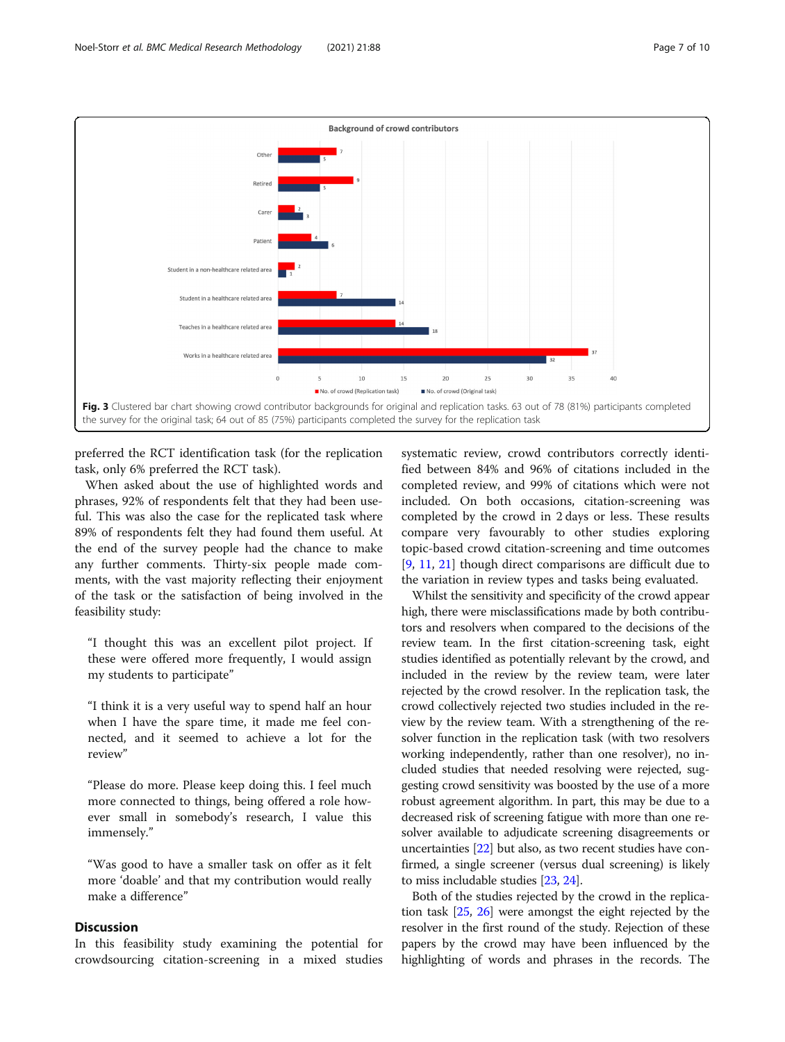<span id="page-6-0"></span>

preferred the RCT identification task (for the replication task, only 6% preferred the RCT task).

When asked about the use of highlighted words and phrases, 92% of respondents felt that they had been useful. This was also the case for the replicated task where 89% of respondents felt they had found them useful. At the end of the survey people had the chance to make any further comments. Thirty-six people made comments, with the vast majority reflecting their enjoyment of the task or the satisfaction of being involved in the feasibility study:

"I thought this was an excellent pilot project. If these were offered more frequently, I would assign my students to participate"

"I think it is a very useful way to spend half an hour when I have the spare time, it made me feel connected, and it seemed to achieve a lot for the review"

"Please do more. Please keep doing this. I feel much more connected to things, being offered a role however small in somebody's research, I value this immensely."

"Was good to have a smaller task on offer as it felt more 'doable' and that my contribution would really make a difference"

#### **Discussion**

In this feasibility study examining the potential for crowdsourcing citation-screening in a mixed studies

systematic review, crowd contributors correctly identified between 84% and 96% of citations included in the completed review, and 99% of citations which were not included. On both occasions, citation-screening was completed by the crowd in 2 days or less. These results compare very favourably to other studies exploring topic-based crowd citation-screening and time outcomes [[9,](#page-9-0) [11,](#page-9-0) [21\]](#page-9-0) though direct comparisons are difficult due to the variation in review types and tasks being evaluated.

Whilst the sensitivity and specificity of the crowd appear high, there were misclassifications made by both contributors and resolvers when compared to the decisions of the review team. In the first citation-screening task, eight studies identified as potentially relevant by the crowd, and included in the review by the review team, were later rejected by the crowd resolver. In the replication task, the crowd collectively rejected two studies included in the review by the review team. With a strengthening of the resolver function in the replication task (with two resolvers working independently, rather than one resolver), no included studies that needed resolving were rejected, suggesting crowd sensitivity was boosted by the use of a more robust agreement algorithm. In part, this may be due to a decreased risk of screening fatigue with more than one resolver available to adjudicate screening disagreements or uncertainties [\[22\]](#page-9-0) but also, as two recent studies have confirmed, a single screener (versus dual screening) is likely to miss includable studies [\[23,](#page-9-0) [24](#page-9-0)].

Both of the studies rejected by the crowd in the replication task [[25](#page-9-0), [26\]](#page-9-0) were amongst the eight rejected by the resolver in the first round of the study. Rejection of these papers by the crowd may have been influenced by the highlighting of words and phrases in the records. The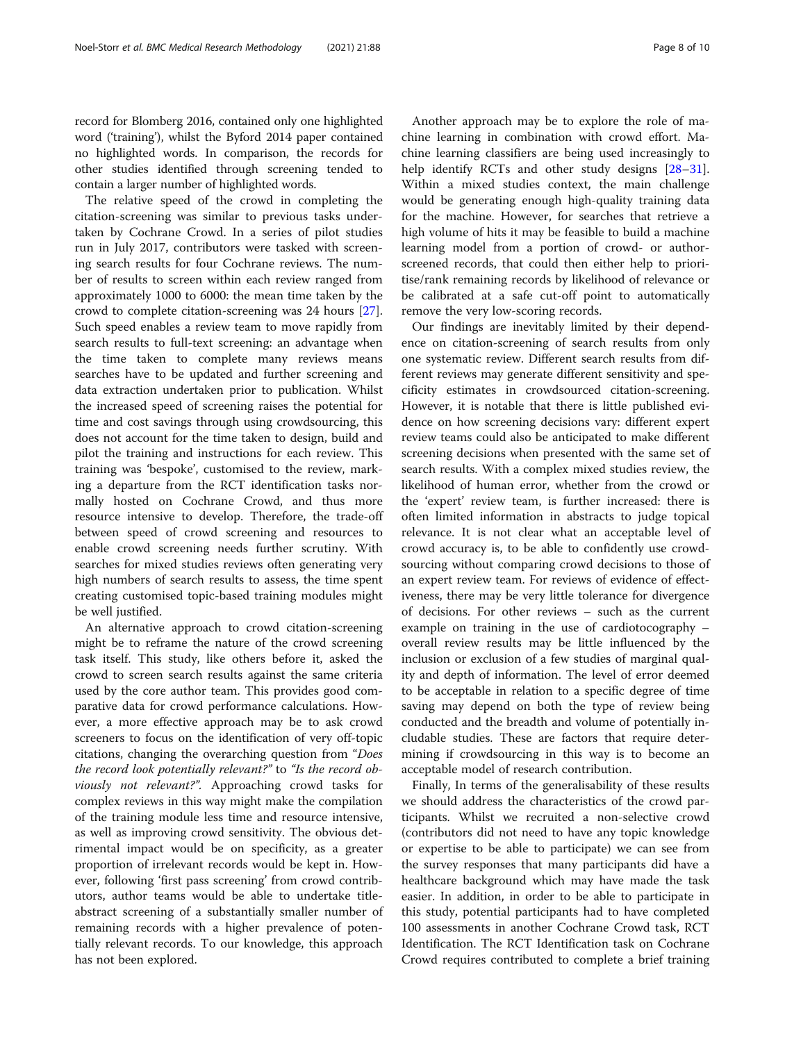record for Blomberg 2016, contained only one highlighted word ('training'), whilst the Byford 2014 paper contained no highlighted words. In comparison, the records for other studies identified through screening tended to contain a larger number of highlighted words.

The relative speed of the crowd in completing the citation-screening was similar to previous tasks undertaken by Cochrane Crowd. In a series of pilot studies run in July 2017, contributors were tasked with screening search results for four Cochrane reviews. The number of results to screen within each review ranged from approximately 1000 to 6000: the mean time taken by the crowd to complete citation-screening was 24 hours [\[27](#page-9-0)]. Such speed enables a review team to move rapidly from search results to full-text screening: an advantage when the time taken to complete many reviews means searches have to be updated and further screening and data extraction undertaken prior to publication. Whilst the increased speed of screening raises the potential for time and cost savings through using crowdsourcing, this does not account for the time taken to design, build and pilot the training and instructions for each review. This training was 'bespoke', customised to the review, marking a departure from the RCT identification tasks normally hosted on Cochrane Crowd, and thus more resource intensive to develop. Therefore, the trade-off between speed of crowd screening and resources to enable crowd screening needs further scrutiny. With searches for mixed studies reviews often generating very high numbers of search results to assess, the time spent creating customised topic-based training modules might be well justified.

An alternative approach to crowd citation-screening might be to reframe the nature of the crowd screening task itself. This study, like others before it, asked the crowd to screen search results against the same criteria used by the core author team. This provides good comparative data for crowd performance calculations. However, a more effective approach may be to ask crowd screeners to focus on the identification of very off-topic citations, changing the overarching question from "Does the record look potentially relevant?" to "Is the record obviously not relevant?". Approaching crowd tasks for complex reviews in this way might make the compilation of the training module less time and resource intensive, as well as improving crowd sensitivity. The obvious detrimental impact would be on specificity, as a greater proportion of irrelevant records would be kept in. However, following 'first pass screening' from crowd contributors, author teams would be able to undertake titleabstract screening of a substantially smaller number of remaining records with a higher prevalence of potentially relevant records. To our knowledge, this approach has not been explored.

Another approach may be to explore the role of machine learning in combination with crowd effort. Machine learning classifiers are being used increasingly to help identify RCTs and other study designs [[28](#page-9-0)–[31](#page-9-0)]. Within a mixed studies context, the main challenge would be generating enough high-quality training data for the machine. However, for searches that retrieve a high volume of hits it may be feasible to build a machine learning model from a portion of crowd- or authorscreened records, that could then either help to prioritise/rank remaining records by likelihood of relevance or be calibrated at a safe cut-off point to automatically remove the very low-scoring records.

Our findings are inevitably limited by their dependence on citation-screening of search results from only one systematic review. Different search results from different reviews may generate different sensitivity and specificity estimates in crowdsourced citation-screening. However, it is notable that there is little published evidence on how screening decisions vary: different expert review teams could also be anticipated to make different screening decisions when presented with the same set of search results. With a complex mixed studies review, the likelihood of human error, whether from the crowd or the 'expert' review team, is further increased: there is often limited information in abstracts to judge topical relevance. It is not clear what an acceptable level of crowd accuracy is, to be able to confidently use crowdsourcing without comparing crowd decisions to those of an expert review team. For reviews of evidence of effectiveness, there may be very little tolerance for divergence of decisions. For other reviews – such as the current example on training in the use of cardiotocography – overall review results may be little influenced by the inclusion or exclusion of a few studies of marginal quality and depth of information. The level of error deemed to be acceptable in relation to a specific degree of time saving may depend on both the type of review being conducted and the breadth and volume of potentially includable studies. These are factors that require determining if crowdsourcing in this way is to become an acceptable model of research contribution.

Finally, In terms of the generalisability of these results we should address the characteristics of the crowd participants. Whilst we recruited a non-selective crowd (contributors did not need to have any topic knowledge or expertise to be able to participate) we can see from the survey responses that many participants did have a healthcare background which may have made the task easier. In addition, in order to be able to participate in this study, potential participants had to have completed 100 assessments in another Cochrane Crowd task, RCT Identification. The RCT Identification task on Cochrane Crowd requires contributed to complete a brief training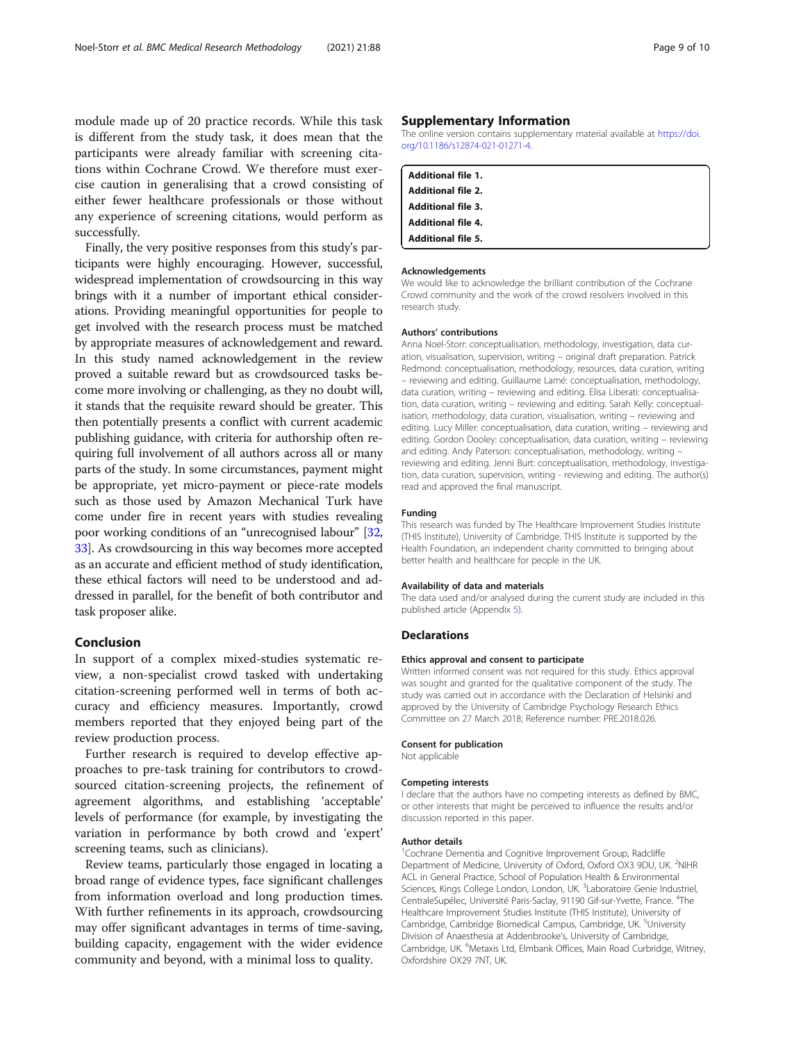<span id="page-8-0"></span>module made up of 20 practice records. While this task is different from the study task, it does mean that the participants were already familiar with screening citations within Cochrane Crowd. We therefore must exercise caution in generalising that a crowd consisting of either fewer healthcare professionals or those without any experience of screening citations, would perform as successfully.

Finally, the very positive responses from this study's participants were highly encouraging. However, successful, widespread implementation of crowdsourcing in this way brings with it a number of important ethical considerations. Providing meaningful opportunities for people to get involved with the research process must be matched by appropriate measures of acknowledgement and reward. In this study named acknowledgement in the review proved a suitable reward but as crowdsourced tasks become more involving or challenging, as they no doubt will, it stands that the requisite reward should be greater. This then potentially presents a conflict with current academic publishing guidance, with criteria for authorship often requiring full involvement of all authors across all or many parts of the study. In some circumstances, payment might be appropriate, yet micro-payment or piece-rate models such as those used by Amazon Mechanical Turk have come under fire in recent years with studies revealing poor working conditions of an "unrecognised labour" [[32](#page-9-0), [33](#page-9-0)]. As crowdsourcing in this way becomes more accepted as an accurate and efficient method of study identification, these ethical factors will need to be understood and addressed in parallel, for the benefit of both contributor and task proposer alike.

#### Conclusion

In support of a complex mixed-studies systematic review, a non-specialist crowd tasked with undertaking citation-screening performed well in terms of both accuracy and efficiency measures. Importantly, crowd members reported that they enjoyed being part of the review production process.

Further research is required to develop effective approaches to pre-task training for contributors to crowdsourced citation-screening projects, the refinement of agreement algorithms, and establishing 'acceptable' levels of performance (for example, by investigating the variation in performance by both crowd and 'expert' screening teams, such as clinicians).

Review teams, particularly those engaged in locating a broad range of evidence types, face significant challenges from information overload and long production times. With further refinements in its approach, crowdsourcing may offer significant advantages in terms of time-saving, building capacity, engagement with the wider evidence community and beyond, with a minimal loss to quality.

#### Supplementary Information

The online version contains supplementary material available at [https://doi.](https://doi.org/10.1186/s12874-021-01271-4) [org/10.1186/s12874-021-01271-4.](https://doi.org/10.1186/s12874-021-01271-4)

| <b>Additional file 1.</b> |  |
|---------------------------|--|
| <b>Additional file 2.</b> |  |
| <b>Additional file 3.</b> |  |
| <b>Additional file 4.</b> |  |
| <b>Additional file 5.</b> |  |

#### Acknowledgements

We would like to acknowledge the brilliant contribution of the Cochrane Crowd community and the work of the crowd resolvers involved in this research study.

#### Authors' contributions

Anna Noel-Storr: conceptualisation, methodology, investigation, data curation, visualisation, supervision, writing – original draft preparation. Patrick Redmond: conceptualisation, methodology, resources, data curation, writing – reviewing and editing. Guillaume Lamé: conceptualisation, methodology, data curation, writing – reviewing and editing. Elisa Liberati: conceptualisation, data curation, writing – reviewing and editing. Sarah Kelly: conceptualisation, methodology, data curation, visualisation, writing – reviewing and editing. Lucy Miller: conceptualisation, data curation, writing – reviewing and editing. Gordon Dooley: conceptualisation, data curation, writing – reviewing and editing. Andy Paterson: conceptualisation, methodology, writing – reviewing and editing. Jenni Burt: conceptualisation, methodology, investigation, data curation, supervision, writing - reviewing and editing. The author(s) read and approved the final manuscript.

#### Funding

This research was funded by The Healthcare Improvement Studies Institute (THIS Institute), University of Cambridge. THIS Institute is supported by the Health Foundation, an independent charity committed to bringing about better health and healthcare for people in the UK.

#### Availability of data and materials

The data used and/or analysed during the current study are included in this published article (Appendix 5).

#### **Declarations**

#### Ethics approval and consent to participate

Written informed consent was not required for this study. Ethics approval was sought and granted for the qualitative component of the study. The study was carried out in accordance with the Declaration of Helsinki and approved by the University of Cambridge Psychology Research Ethics Committee on 27 March 2018; Reference number: PRE.2018.026.

#### Consent for publication

Not applicable

#### Competing interests

I declare that the authors have no competing interests as defined by BMC, or other interests that might be perceived to influence the results and/or discussion reported in this paper.

#### Author details

<sup>1</sup> Cochrane Dementia and Cognitive Improvement Group, Radcliffe Department of Medicine, University of Oxford, Oxford OX3 9DU, UK. <sup>2</sup>NIHF ACL in General Practice, School of Population Health & Environmental Sciences, Kings College London, London, UK. <sup>3</sup>Laboratoire Genie Industriel CentraleSupélec, Université Paris-Saclay, 91190 Gif-sur-Yvette, France. <sup>4</sup>The Healthcare Improvement Studies Institute (THIS Institute), University of Cambridge, Cambridge Biomedical Campus, Cambridge, UK.<sup>5</sup>University Division of Anaesthesia at Addenbrooke's, University of Cambridge, Cambridge, UK. <sup>6</sup>Metaxis Ltd, Elmbank Offices, Main Road Curbridge, Witney, Oxfordshire OX29 7NT, UK.